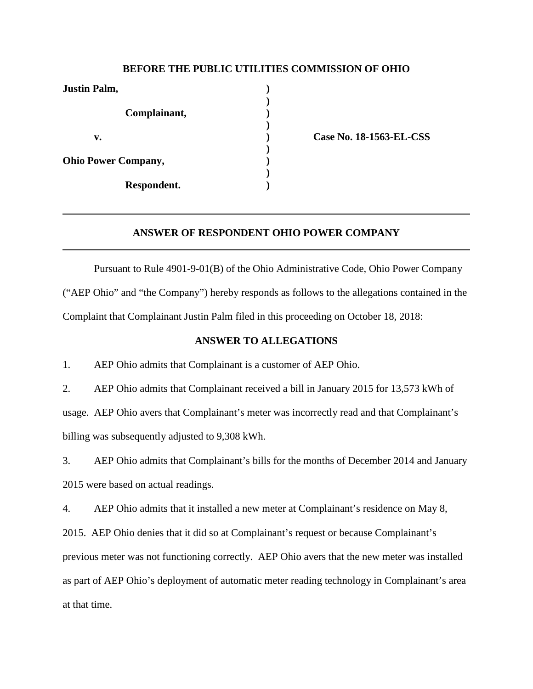## **BEFORE THE PUBLIC UTILITIES COMMISSION OF OHIO**

| <b>Justin Palm,</b>        |  |
|----------------------------|--|
| Complainant,               |  |
| v.                         |  |
| <b>Ohio Power Company,</b> |  |
| Respondent.                |  |

**v. ) Case No. 18-1563-EL-CSS**

#### **ANSWER OF RESPONDENT OHIO POWER COMPANY**

Pursuant to Rule 4901-9-01(B) of the Ohio Administrative Code, Ohio Power Company ("AEP Ohio" and "the Company") hereby responds as follows to the allegations contained in the Complaint that Complainant Justin Palm filed in this proceeding on October 18, 2018:

## **ANSWER TO ALLEGATIONS**

1. AEP Ohio admits that Complainant is a customer of AEP Ohio.

2. AEP Ohio admits that Complainant received a bill in January 2015 for 13,573 kWh of usage. AEP Ohio avers that Complainant's meter was incorrectly read and that Complainant's billing was subsequently adjusted to 9,308 kWh.

3. AEP Ohio admits that Complainant's bills for the months of December 2014 and January 2015 were based on actual readings.

4. AEP Ohio admits that it installed a new meter at Complainant's residence on May 8,

2015. AEP Ohio denies that it did so at Complainant's request or because Complainant's

previous meter was not functioning correctly. AEP Ohio avers that the new meter was installed

as part of AEP Ohio's deployment of automatic meter reading technology in Complainant's area

at that time.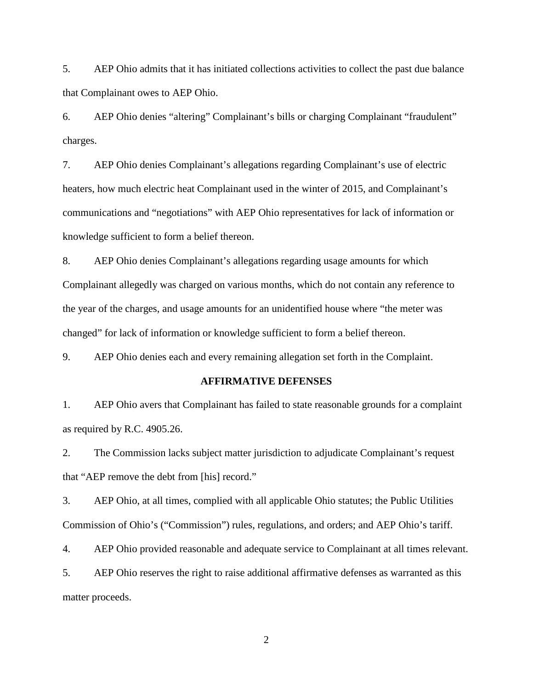5. AEP Ohio admits that it has initiated collections activities to collect the past due balance that Complainant owes to AEP Ohio.

6. AEP Ohio denies "altering" Complainant's bills or charging Complainant "fraudulent" charges.

7. AEP Ohio denies Complainant's allegations regarding Complainant's use of electric heaters, how much electric heat Complainant used in the winter of 2015, and Complainant's communications and "negotiations" with AEP Ohio representatives for lack of information or knowledge sufficient to form a belief thereon.

8. AEP Ohio denies Complainant's allegations regarding usage amounts for which Complainant allegedly was charged on various months, which do not contain any reference to the year of the charges, and usage amounts for an unidentified house where "the meter was changed" for lack of information or knowledge sufficient to form a belief thereon.

9. AEP Ohio denies each and every remaining allegation set forth in the Complaint.

#### **AFFIRMATIVE DEFENSES**

1. AEP Ohio avers that Complainant has failed to state reasonable grounds for a complaint as required by R.C. 4905.26.

2. The Commission lacks subject matter jurisdiction to adjudicate Complainant's request that "AEP remove the debt from [his] record."

3. AEP Ohio, at all times, complied with all applicable Ohio statutes; the Public Utilities Commission of Ohio's ("Commission") rules, regulations, and orders; and AEP Ohio's tariff.

4. AEP Ohio provided reasonable and adequate service to Complainant at all times relevant.

5. AEP Ohio reserves the right to raise additional affirmative defenses as warranted as this matter proceeds.

2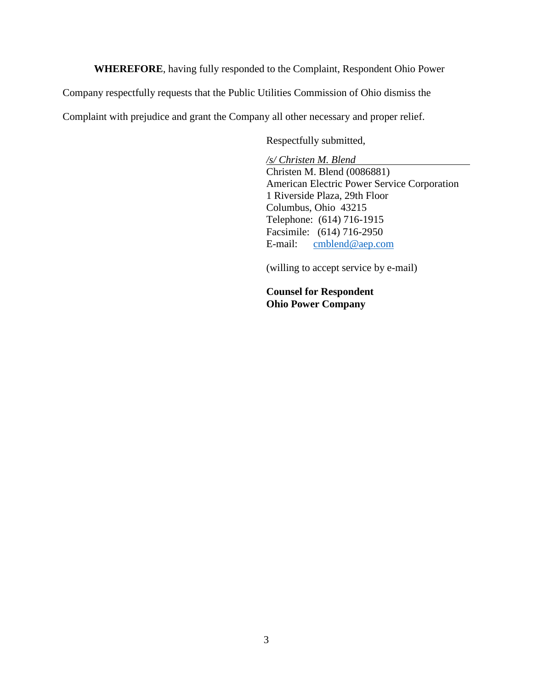**WHEREFORE**, having fully responded to the Complaint, Respondent Ohio Power

Company respectfully requests that the Public Utilities Commission of Ohio dismiss the

Complaint with prejudice and grant the Company all other necessary and proper relief.

Respectfully submitted,

*/s/ Christen M. Blend* Christen M. Blend (0086881) American Electric Power Service Corporation 1 Riverside Plaza, 29th Floor Columbus, Ohio 43215 Telephone: (614) 716-1915 Facsimile: (614) 716-2950 E-mail: [cmblend@aep.com](mailto:cmblend@aep.com)

(willing to accept service by e-mail)

**Counsel for Respondent Ohio Power Company**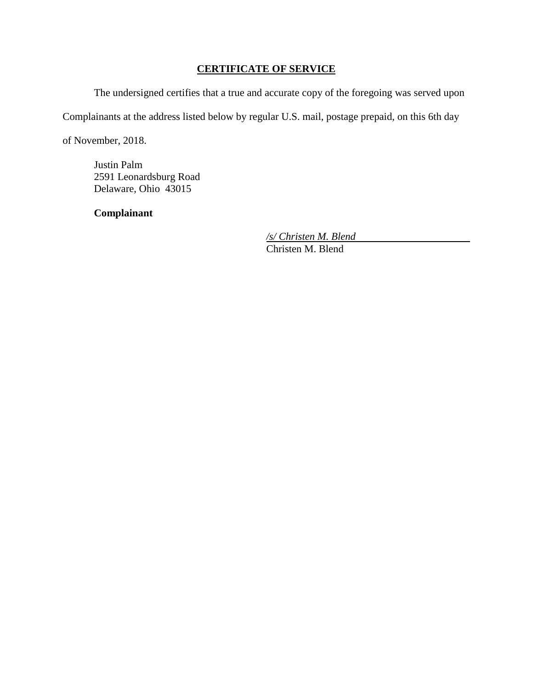# **CERTIFICATE OF SERVICE**

The undersigned certifies that a true and accurate copy of the foregoing was served upon

Complainants at the address listed below by regular U.S. mail, postage prepaid, on this 6th day

of November, 2018.

Justin Palm 2591 Leonardsburg Road Delaware, Ohio 43015

**Complainant**

*/s/ Christen M. Blend* Christen M. Blend